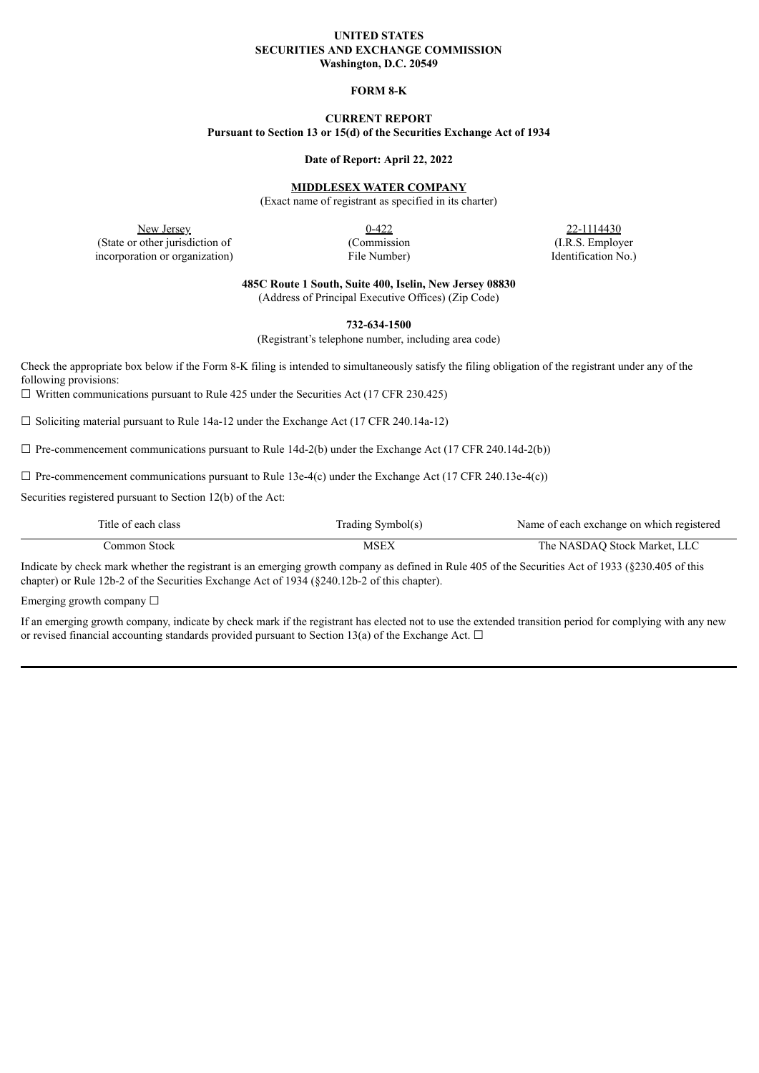#### **UNITED STATES SECURITIES AND EXCHANGE COMMISSION Washington, D.C. 20549**

### **FORM 8-K**

# **CURRENT REPORT**

**Pursuant to Section 13 or 15(d) of the Securities Exchange Act of 1934**

#### **Date of Report: April 22, 2022**

## **MIDDLESEX WATER COMPANY**

(Exact name of registrant as specified in its charter)

New Jersey 22-1114430<br>
0-422 22-1114430 (State or other jurisdiction of (Commission (I.R.S. Employer incorporation or organization) File Number) File Number (Identification No.)

**485C Route 1 South, Suite 400, Iselin, New Jersey 08830**

(Address of Principal Executive Offices) (Zip Code)

**732-634-1500**

(Registrant's telephone number, including area code)

Check the appropriate box below if the Form 8-K filing is intended to simultaneously satisfy the filing obligation of the registrant under any of the following provisions:

 $\Box$  Written communications pursuant to Rule 425 under the Securities Act (17 CFR 230.425)

 $\Box$  Soliciting material pursuant to Rule 14a-12 under the Exchange Act (17 CFR 240.14a-12)

 $\Box$  Pre-commencement communications pursuant to Rule 14d-2(b) under the Exchange Act (17 CFR 240.14d-2(b))

 $\Box$  Pre-commencement communications pursuant to Rule 13e-4(c) under the Exchange Act (17 CFR 240.13e-4(c))

Securities registered pursuant to Section 12(b) of the Act:

| Title of each class | Trading Symbol(s) | Name of each exchange on which registered |
|---------------------|-------------------|-------------------------------------------|
| Jommon Stock-       | MSEX              | The NASDAO Stock Market, LLC              |

Indicate by check mark whether the registrant is an emerging growth company as defined in Rule 405 of the Securities Act of 1933 (§230.405 of this chapter) or Rule 12b-2 of the Securities Exchange Act of 1934 (§240.12b-2 of this chapter).

Emerging growth company  $\Box$ 

If an emerging growth company, indicate by check mark if the registrant has elected not to use the extended transition period for complying with any new or revised financial accounting standards provided pursuant to Section 13(a) of the Exchange Act.  $\Box$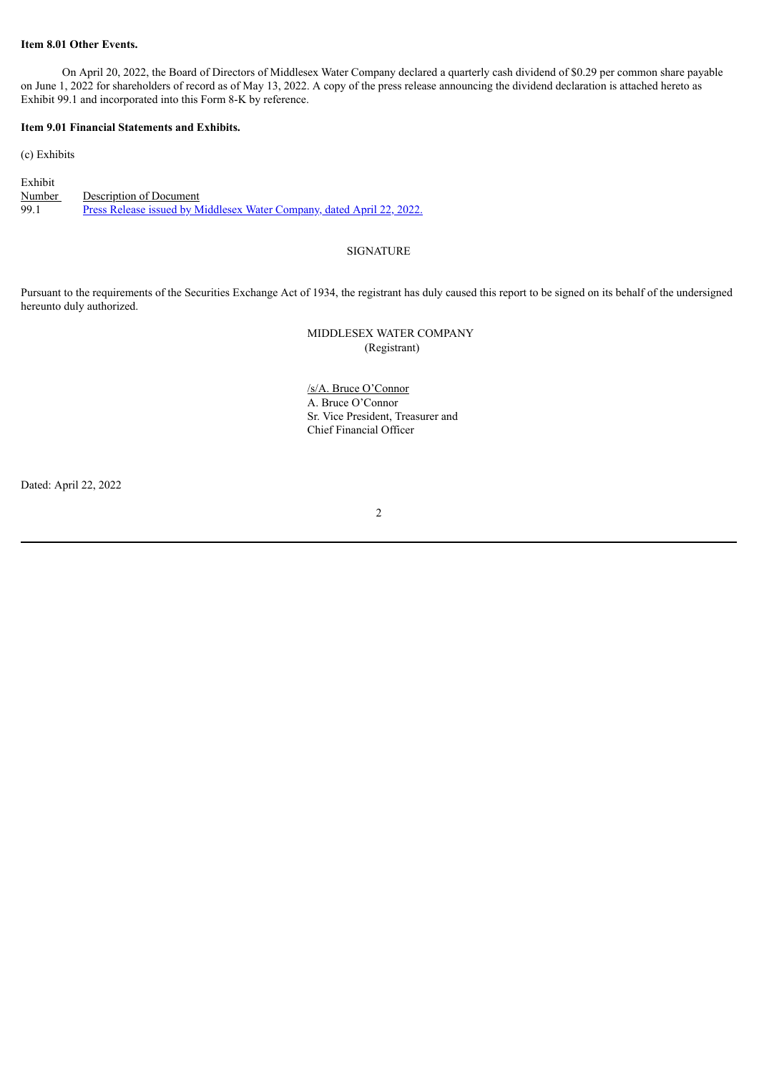### **Item 8.01 Other Events.**

On April 20, 2022, the Board of Directors of Middlesex Water Company declared a quarterly cash dividend of \$0.29 per common share payable on June 1, 2022 for shareholders of record as of May 13, 2022. A copy of the press release announcing the dividend declaration is attached hereto as Exhibit 99.1 and incorporated into this Form 8-K by reference.

### **Item 9.01 Financial Statements and Exhibits.**

(c) Exhibits

Exhibit Number Description of Document 99.1 Press Release issued by [Middlesex](#page-2-0) Water Company, dated April 22, 2022.

## SIGNATURE

Pursuant to the requirements of the Securities Exchange Act of 1934, the registrant has duly caused this report to be signed on its behalf of the undersigned hereunto duly authorized.

# MIDDLESEX WATER COMPANY (Registrant)

/s/A. Bruce O'Connor A. Bruce O'Connor Sr. Vice President, Treasurer and Chief Financial Officer

Dated: April 22, 2022

### 2